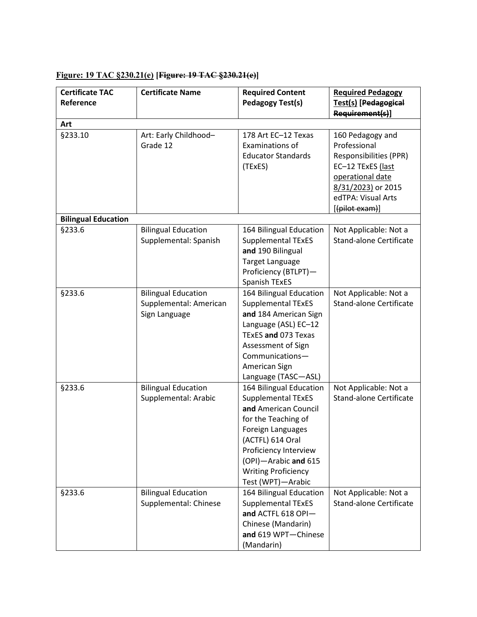| <b>Certificate TAC</b><br>Reference | <b>Certificate Name</b>                                               | <b>Required Content</b><br><b>Pedagogy Test(s)</b>                                                                                                                                                                                               | <b>Required Pedagogy</b><br>Test(s) [Pedagogical<br>Requirement(s)]                                                                                               |
|-------------------------------------|-----------------------------------------------------------------------|--------------------------------------------------------------------------------------------------------------------------------------------------------------------------------------------------------------------------------------------------|-------------------------------------------------------------------------------------------------------------------------------------------------------------------|
| Art                                 |                                                                       |                                                                                                                                                                                                                                                  |                                                                                                                                                                   |
| §233.10                             | Art: Early Childhood-<br>Grade 12                                     | 178 Art EC-12 Texas<br>Examinations of<br><b>Educator Standards</b><br>(TExES)                                                                                                                                                                   | 160 Pedagogy and<br>Professional<br>Responsibilities (PPR)<br>EC-12 TExES (last<br>operational date<br>8/31/2023) or 2015<br>edTPA: Visual Arts<br>[(pilot exam)] |
| <b>Bilingual Education</b>          |                                                                       |                                                                                                                                                                                                                                                  |                                                                                                                                                                   |
| §233.6                              | <b>Bilingual Education</b><br>Supplemental: Spanish                   | 164 Bilingual Education<br>Supplemental TExES<br>and 190 Bilingual<br><b>Target Language</b><br>Proficiency (BTLPT)-<br>Spanish TExES                                                                                                            | Not Applicable: Not a<br><b>Stand-alone Certificate</b>                                                                                                           |
| §233.6                              | <b>Bilingual Education</b><br>Supplemental: American<br>Sign Language | 164 Bilingual Education<br><b>Supplemental TExES</b><br>and 184 American Sign<br>Language (ASL) EC-12<br>TExES and 073 Texas<br>Assessment of Sign<br>Communications-<br>American Sign<br>Language (TASC-ASL)                                    | Not Applicable: Not a<br><b>Stand-alone Certificate</b>                                                                                                           |
| §233.6                              | <b>Bilingual Education</b><br>Supplemental: Arabic                    | 164 Bilingual Education<br><b>Supplemental TExES</b><br>and American Council<br>for the Teaching of<br>Foreign Languages<br>(ACTFL) 614 Oral<br>Proficiency Interview<br>(OPI)-Arabic and 615<br><b>Writing Proficiency</b><br>Test (WPT)-Arabic | Not Applicable: Not a<br><b>Stand-alone Certificate</b>                                                                                                           |
| §233.6                              | <b>Bilingual Education</b><br>Supplemental: Chinese                   | 164 Bilingual Education<br><b>Supplemental TExES</b><br>and ACTFL 618 OPI-<br>Chinese (Mandarin)<br>and 619 WPT-Chinese<br>(Mandarin)                                                                                                            | Not Applicable: Not a<br><b>Stand-alone Certificate</b>                                                                                                           |

## **Figure: 19 TAC §230.21(e) [Figure: 19 TAC §230.21(e)]**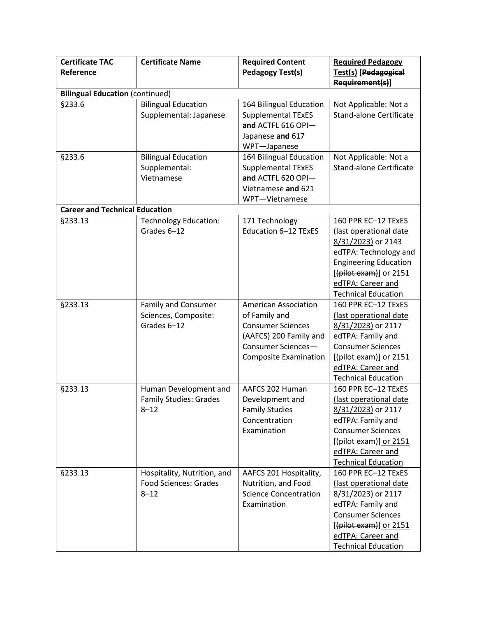| <b>Certificate TAC</b><br>Reference    | <b>Certificate Name</b>                                                 | <b>Required Content</b><br><b>Pedagogy Test(s)</b>                                                                                                       | <b>Required Pedagogy</b><br>Test(s) [Pedagogical<br>Requirement(s)]                                                                                                                                          |
|----------------------------------------|-------------------------------------------------------------------------|----------------------------------------------------------------------------------------------------------------------------------------------------------|--------------------------------------------------------------------------------------------------------------------------------------------------------------------------------------------------------------|
| <b>Bilingual Education (continued)</b> |                                                                         |                                                                                                                                                          |                                                                                                                                                                                                              |
| §233.6                                 | <b>Bilingual Education</b><br>Supplemental: Japanese                    | 164 Bilingual Education<br><b>Supplemental TExES</b><br>and ACTFL 616 OPI-<br>Japanese and 617<br>WPT-Japanese                                           | Not Applicable: Not a<br><b>Stand-alone Certificate</b>                                                                                                                                                      |
| §233.6                                 | <b>Bilingual Education</b><br>Supplemental:<br>Vietnamese               | 164 Bilingual Education<br><b>Supplemental TExES</b><br>and ACTFL 620 OPI-<br>Vietnamese and 621<br>WPT-Vietnamese                                       | Not Applicable: Not a<br><b>Stand-alone Certificate</b>                                                                                                                                                      |
| <b>Career and Technical Education</b>  |                                                                         |                                                                                                                                                          |                                                                                                                                                                                                              |
| §233.13                                | <b>Technology Education:</b><br>Grades 6-12                             | 171 Technology<br>Education 6-12 TExES                                                                                                                   | 160 PPR EC-12 TExES<br>(last operational date<br>8/31/2023) or 2143<br>edTPA: Technology and<br><b>Engineering Education</b><br>$[$ (pilot exam)] or 2151<br>edTPA: Career and<br><b>Technical Education</b> |
| §233.13                                | Family and Consumer<br>Sciences, Composite:<br>Grades 6-12              | <b>American Association</b><br>of Family and<br><b>Consumer Sciences</b><br>(AAFCS) 200 Family and<br>Consumer Sciences-<br><b>Composite Examination</b> | 160 PPR EC-12 TExES<br>(last operational date<br>8/31/2023) or 2117<br>edTPA: Family and<br><b>Consumer Sciences</b><br>$[$ (pilot exam)] or 2151<br>edTPA: Career and<br><b>Technical Education</b>         |
| §233.13                                | Human Development and<br><b>Family Studies: Grades</b><br>$8 - 12$      | AAFCS 202 Human<br>Development and<br><b>Family Studies</b><br>Concentration<br>Examination                                                              | 160 PPR EC-12 TExES<br>(last operational date<br>8/31/2023) or 2117<br>edTPA: Family and<br><b>Consumer Sciences</b><br>[(pilot exam)] or 2151<br>edTPA: Career and<br><b>Technical Education</b>            |
| §233.13                                | Hospitality, Nutrition, and<br><b>Food Sciences: Grades</b><br>$8 - 12$ | AAFCS 201 Hospitality,<br>Nutrition, and Food<br><b>Science Concentration</b><br>Examination                                                             | 160 PPR EC-12 TExES<br>(last operational date<br>8/31/2023) or 2117<br>edTPA: Family and<br><b>Consumer Sciences</b><br>$[$ (pilot exam)] or 2151<br>edTPA: Career and<br><b>Technical Education</b>         |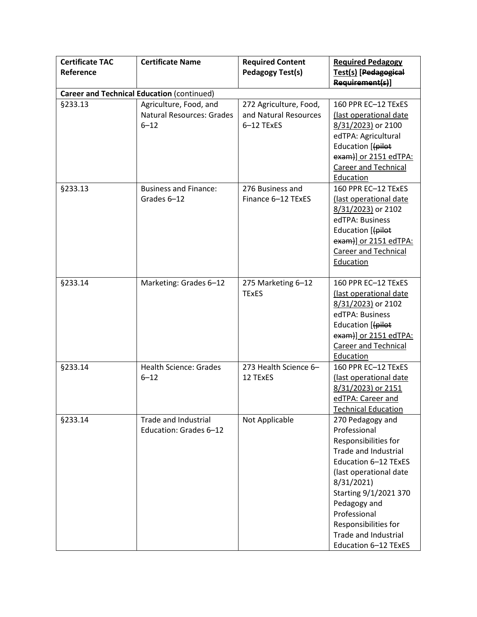| <b>Certificate TAC</b> | <b>Certificate Name</b>                                                | <b>Required Content</b>                                       | <b>Required Pedagogy</b>                                                                                                                                                                                                                                                                 |  |  |  |
|------------------------|------------------------------------------------------------------------|---------------------------------------------------------------|------------------------------------------------------------------------------------------------------------------------------------------------------------------------------------------------------------------------------------------------------------------------------------------|--|--|--|
| Reference              |                                                                        | <b>Pedagogy Test(s)</b>                                       | Test(s) [Pedagogical<br>Requirement(s)]                                                                                                                                                                                                                                                  |  |  |  |
|                        | <b>Career and Technical Education (continued)</b>                      |                                                               |                                                                                                                                                                                                                                                                                          |  |  |  |
| §233.13                | Agriculture, Food, and<br><b>Natural Resources: Grades</b><br>$6 - 12$ | 272 Agriculture, Food,<br>and Natural Resources<br>6-12 TExES | 160 PPR EC-12 TExES<br>(last operational date<br>8/31/2023) or 2100<br>edTPA: Agricultural<br>Education [(pilot<br>exam)] or 2151 edTPA:<br><b>Career and Technical</b><br>Education                                                                                                     |  |  |  |
| §233.13                | <b>Business and Finance:</b><br>Grades 6-12                            | 276 Business and<br>Finance 6-12 TExES                        | 160 PPR EC-12 TExES<br>(last operational date<br>8/31/2023) or 2102<br>edTPA: Business<br>Education [(pilot<br>exam)] or 2151 edTPA:<br><b>Career and Technical</b><br>Education                                                                                                         |  |  |  |
| §233.14                | Marketing: Grades 6-12                                                 | 275 Marketing 6-12<br><b>TExES</b>                            | 160 PPR EC-12 TExES<br>(last operational date<br>8/31/2023) or 2102<br>edTPA: Business<br>Education [(pilot<br>$exam$ ] or 2151 edTPA:<br><b>Career and Technical</b><br>Education                                                                                                       |  |  |  |
| §233.14                | <b>Health Science: Grades</b><br>$6 - 12$                              | 273 Health Science 6-<br>12 TExES                             | 160 PPR EC-12 TExES<br>(last operational date<br>8/31/2023) or 2151<br>edTPA: Career and<br><b>Technical Education</b>                                                                                                                                                                   |  |  |  |
| §233.14                | Trade and Industrial<br>Education: Grades 6-12                         | Not Applicable                                                | 270 Pedagogy and<br>Professional<br>Responsibilities for<br><b>Trade and Industrial</b><br>Education 6-12 TExES<br>(last operational date<br>8/31/2021)<br>Starting 9/1/2021 370<br>Pedagogy and<br>Professional<br>Responsibilities for<br>Trade and Industrial<br>Education 6-12 TExES |  |  |  |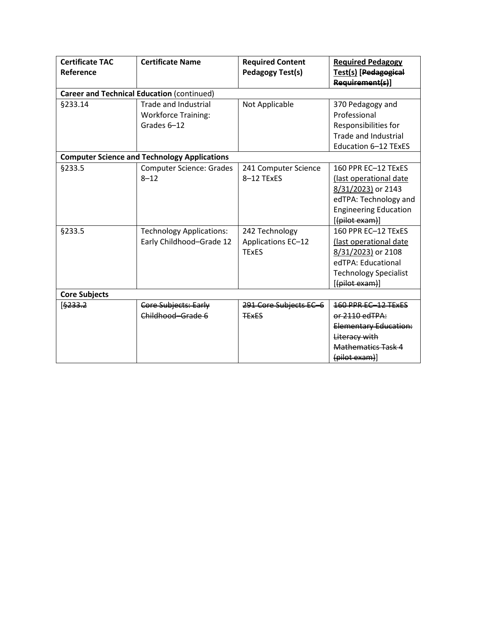| <b>Certificate TAC</b> | <b>Certificate Name</b>                             | <b>Required Content</b> | <b>Required Pedagogy</b>     |
|------------------------|-----------------------------------------------------|-------------------------|------------------------------|
| Reference              |                                                     | Pedagogy Test(s)        | Test(s) [Pedagogical         |
|                        |                                                     |                         | Requirement(s)]              |
|                        | <b>Career and Technical Education (continued)</b>   |                         |                              |
| §233.14                | <b>Trade and Industrial</b>                         | Not Applicable          | 370 Pedagogy and             |
|                        | <b>Workforce Training:</b>                          |                         | Professional                 |
|                        | Grades 6-12                                         |                         | Responsibilities for         |
|                        |                                                     |                         | <b>Trade and Industrial</b>  |
|                        |                                                     |                         | Education 6-12 TExES         |
|                        | <b>Computer Science and Technology Applications</b> |                         |                              |
| §233.5                 | <b>Computer Science: Grades</b>                     | 241 Computer Science    | 160 PPR EC-12 TExES          |
|                        | $8 - 12$                                            | 8-12 TExES              | (last operational date       |
|                        |                                                     |                         | 8/31/2023) or 2143           |
|                        |                                                     |                         | edTPA: Technology and        |
|                        |                                                     |                         | <b>Engineering Education</b> |
|                        |                                                     |                         | $[$ (pilot exam)]            |
| §233.5                 | <b>Technology Applications:</b>                     | 242 Technology          | 160 PPR EC-12 TExES          |
|                        | Early Childhood-Grade 12                            | Applications EC-12      | (last operational date       |
|                        |                                                     | <b>TExES</b>            | 8/31/2023) or 2108           |
|                        |                                                     |                         | edTPA: Educational           |
|                        |                                                     |                         | <b>Technology Specialist</b> |
|                        |                                                     |                         | [(pilot exam)]               |
| <b>Core Subjects</b>   |                                                     |                         |                              |
| [6233.2]               | Core Subjects: Early                                | 291 Core Subjects EC-6  | 160 PPR EC-12 TEXES          |
|                        | Childhood-Grade 6                                   | <b>TEXES</b>            | er <sub>2110</sub> edTPA:    |
|                        |                                                     |                         | <b>Elementary Education:</b> |
|                        |                                                     |                         | Literacy with                |
|                        |                                                     |                         | <b>Mathematics Task 4</b>    |
|                        |                                                     |                         | (pilot exam)                 |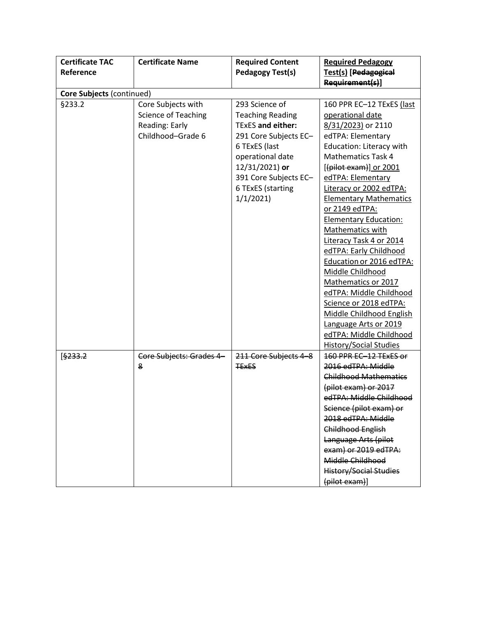| <b>Certificate TAC</b>    | <b>Certificate Name</b>    | <b>Required Content</b> | <b>Required Pedagogy</b>                       |  |  |  |
|---------------------------|----------------------------|-------------------------|------------------------------------------------|--|--|--|
| Reference                 |                            | <b>Pedagogy Test(s)</b> | Test(s) [Pedagogical                           |  |  |  |
|                           |                            |                         | Requirement(s)]                                |  |  |  |
| Core Subjects (continued) |                            |                         |                                                |  |  |  |
| §233.2                    | Core Subjects with         | 293 Science of          | 160 PPR EC-12 TExES (last                      |  |  |  |
|                           | <b>Science of Teaching</b> | <b>Teaching Reading</b> | operational date                               |  |  |  |
|                           | Reading: Early             | TExES and either:       | 8/31/2023) or 2110                             |  |  |  |
|                           | Childhood-Grade 6          | 291 Core Subjects EC-   | edTPA: Elementary                              |  |  |  |
|                           |                            | 6 TExES (last           | Education: Literacy with                       |  |  |  |
|                           |                            | operational date        | <b>Mathematics Task 4</b>                      |  |  |  |
|                           |                            | 12/31/2021) or          | [(pilot exam)] or 2001                         |  |  |  |
|                           |                            | 391 Core Subjects EC-   | edTPA: Elementary                              |  |  |  |
|                           |                            | 6 TExES (starting       | Literacy or 2002 edTPA:                        |  |  |  |
|                           |                            | 1/1/2021                | <b>Elementary Mathematics</b>                  |  |  |  |
|                           |                            |                         | or 2149 edTPA:                                 |  |  |  |
|                           |                            |                         | <b>Elementary Education:</b>                   |  |  |  |
|                           |                            |                         | Mathematics with                               |  |  |  |
|                           |                            |                         | Literacy Task 4 or 2014                        |  |  |  |
|                           |                            |                         | edTPA: Early Childhood                         |  |  |  |
|                           |                            |                         | Education or 2016 edTPA:                       |  |  |  |
|                           |                            |                         | Middle Childhood                               |  |  |  |
|                           |                            |                         | Mathematics or 2017                            |  |  |  |
|                           |                            |                         | edTPA: Middle Childhood                        |  |  |  |
|                           |                            |                         | Science or 2018 edTPA:                         |  |  |  |
|                           |                            |                         | Middle Childhood English                       |  |  |  |
|                           |                            |                         | Language Arts or 2019                          |  |  |  |
|                           |                            |                         | edTPA: Middle Childhood                        |  |  |  |
|                           |                            |                         | <b>History/Social Studies</b>                  |  |  |  |
| [\$233.2]                 | Core Subjects: Grades 4-   | 211 Core Subjects 4-8   | 160 PPR EC-12 TExES or                         |  |  |  |
|                           | 8                          | <b>TEXES</b>            | 2016 edTPA: Middle                             |  |  |  |
|                           |                            |                         | <b>Childhood Mathematics</b>                   |  |  |  |
|                           |                            |                         | (pilot exam) or 2017                           |  |  |  |
|                           |                            |                         | edTPA: Middle Childhood                        |  |  |  |
|                           |                            |                         | Science (pilot exam) or                        |  |  |  |
|                           |                            |                         | 2018 edTPA: Middle<br><b>Childhood English</b> |  |  |  |
|                           |                            |                         |                                                |  |  |  |
|                           |                            |                         | Language Arts (pilot<br>exam) or 2019 edTPA:   |  |  |  |
|                           |                            |                         | Middle Childhood                               |  |  |  |
|                           |                            |                         |                                                |  |  |  |
|                           |                            |                         | <b>History/Social Studies</b><br>(pilot exam)] |  |  |  |
|                           |                            |                         |                                                |  |  |  |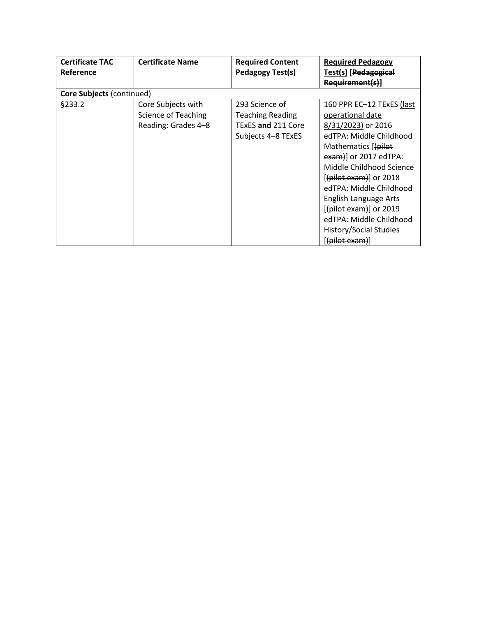| <b>Certificate TAC</b> | <b>Certificate Name</b>          | <b>Required Content</b> | <b>Required Pedagogy</b>      |  |  |  |
|------------------------|----------------------------------|-------------------------|-------------------------------|--|--|--|
| <b>Reference</b>       |                                  | <b>Pedagogy Test(s)</b> | Test(s) [Pedagogical          |  |  |  |
|                        |                                  |                         | Requirement(s)                |  |  |  |
|                        | <b>Core Subjects (continued)</b> |                         |                               |  |  |  |
| §233.2                 | Core Subjects with               | 293 Science of          | 160 PPR EC-12 TExES (last     |  |  |  |
|                        | Science of Teaching              | <b>Teaching Reading</b> | operational date              |  |  |  |
|                        | Reading: Grades 4-8              | TExES and 211 Core      | 8/31/2023) or 2016            |  |  |  |
|                        |                                  | Subjects 4-8 TExES      | edTPA: Middle Childhood       |  |  |  |
|                        |                                  |                         | Mathematics [(pilot           |  |  |  |
|                        |                                  |                         | exam)] or 2017 edTPA:         |  |  |  |
|                        |                                  |                         | Middle Childhood Science      |  |  |  |
|                        |                                  |                         | $[$ (pilot exam)] or 2018     |  |  |  |
|                        |                                  |                         | edTPA: Middle Childhood       |  |  |  |
|                        |                                  |                         | English Language Arts         |  |  |  |
|                        |                                  |                         | $[$ (pilot exam)] or 2019     |  |  |  |
|                        |                                  |                         | edTPA: Middle Childhood       |  |  |  |
|                        |                                  |                         | <b>History/Social Studies</b> |  |  |  |
|                        |                                  |                         | $[$ (pilot exam)]             |  |  |  |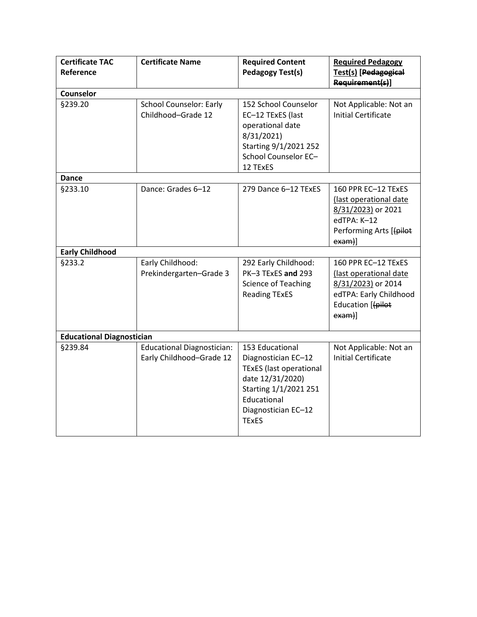| <b>Certificate TAC</b><br>Reference | <b>Certificate Name</b>                                       | <b>Required Content</b><br><b>Pedagogy Test(s)</b>                                                                                                                          | <b>Required Pedagogy</b><br>Test(s) [Pedagogical<br>Requirement(s)]                                                         |
|-------------------------------------|---------------------------------------------------------------|-----------------------------------------------------------------------------------------------------------------------------------------------------------------------------|-----------------------------------------------------------------------------------------------------------------------------|
| <b>Counselor</b>                    |                                                               |                                                                                                                                                                             |                                                                                                                             |
| §239.20                             | <b>School Counselor: Early</b><br>Childhood-Grade 12          | 152 School Counselor<br>EC-12 TExES (last<br>operational date<br>8/31/2021)<br>Starting 9/1/2021 252<br>School Counselor EC-<br>12 TExES                                    | Not Applicable: Not an<br><b>Initial Certificate</b>                                                                        |
| <b>Dance</b>                        |                                                               |                                                                                                                                                                             |                                                                                                                             |
| §233.10                             | Dance: Grades 6-12                                            | 279 Dance 6-12 TExES                                                                                                                                                        | 160 PPR EC-12 TExES<br>(last operational date<br>8/31/2023) or 2021<br>edTPA: K-12<br>Performing Arts [(pilot<br>$exam)$ ]  |
| <b>Early Childhood</b>              |                                                               |                                                                                                                                                                             |                                                                                                                             |
| §233.2                              | Early Childhood:<br>Prekindergarten-Grade 3                   | 292 Early Childhood:<br>PK-3 TExES and 293<br><b>Science of Teaching</b><br><b>Reading TExES</b>                                                                            | 160 PPR EC-12 TExES<br>(last operational date<br>8/31/2023) or 2014<br>edTPA: Early Childhood<br>Education [(pilot<br>exam] |
| <b>Educational Diagnostician</b>    |                                                               |                                                                                                                                                                             |                                                                                                                             |
| §239.84                             | <b>Educational Diagnostician:</b><br>Early Childhood-Grade 12 | 153 Educational<br>Diagnostician EC-12<br><b>TExES</b> (last operational<br>date 12/31/2020)<br>Starting 1/1/2021 251<br>Educational<br>Diagnostician EC-12<br><b>TExES</b> | Not Applicable: Not an<br><b>Initial Certificate</b>                                                                        |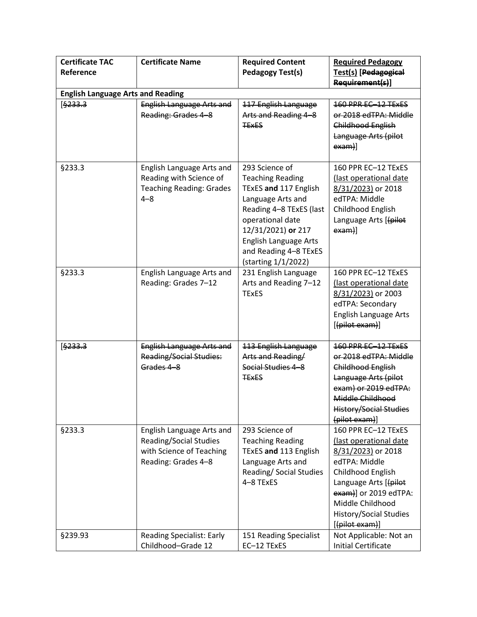| <b>Certificate TAC</b><br>Reference      | <b>Certificate Name</b>                                                                                       | <b>Required Content</b><br><b>Pedagogy Test(s)</b>                                                                                                                                                                                           | <b>Required Pedagogy</b><br>Test(s) [Pedagogical<br>Requirement(s)]                                                                                                                                                                  |
|------------------------------------------|---------------------------------------------------------------------------------------------------------------|----------------------------------------------------------------------------------------------------------------------------------------------------------------------------------------------------------------------------------------------|--------------------------------------------------------------------------------------------------------------------------------------------------------------------------------------------------------------------------------------|
| <b>English Language Arts and Reading</b> |                                                                                                               |                                                                                                                                                                                                                                              |                                                                                                                                                                                                                                      |
| [\$233.3]                                | <b>English Language Arts and</b><br>Reading: Grades 4-8                                                       | 117 English Language<br>Arts and Reading 4-8<br><b>TEXES</b>                                                                                                                                                                                 | 160 PPR EC-12 TEXES<br>or 2018 edTPA: Middle<br>Childhood English<br>Language Arts (pilot<br>$exam)$ ]                                                                                                                               |
| <b>§233.3</b>                            | English Language Arts and<br>Reading with Science of<br><b>Teaching Reading: Grades</b><br>$4 - 8$            | 293 Science of<br><b>Teaching Reading</b><br>TExES and 117 English<br>Language Arts and<br>Reading 4-8 TExES (last<br>operational date<br>12/31/2021) or 217<br><b>English Language Arts</b><br>and Reading 4-8 TExES<br>(starting 1/1/2022) | 160 PPR EC-12 TExES<br>(last operational date<br>8/31/2023) or 2018<br>edTPA: Middle<br>Childhood English<br>Language Arts [(pilot<br>$exam)$ ]                                                                                      |
| §233.3                                   | English Language Arts and<br>Reading: Grades 7-12                                                             | 231 English Language<br>Arts and Reading 7-12<br><b>TExES</b>                                                                                                                                                                                | 160 PPR EC-12 TExES<br>(last operational date<br>8/31/2023) or 2003<br>edTPA: Secondary<br><b>English Language Arts</b><br>[(pilot exam)]                                                                                            |
| [\$233.3]                                | <b>English Language Arts and</b><br><b>Reading/Social Studies:</b><br>Grades 4-8                              | 113 English Language<br>Arts and Reading/<br>Social Studies 4-8<br><b>TEXES</b>                                                                                                                                                              | 160 PPR EC-12 TExES<br>or 2018 edTPA: Middle<br><b>Childhood English</b><br>Language Arts (pilot<br>exam) or 2019 edTPA:<br>Middle Childhood<br><b>History/Social Studies</b><br>(pilot exam)]                                       |
| §233.3                                   | English Language Arts and<br><b>Reading/Social Studies</b><br>with Science of Teaching<br>Reading: Grades 4-8 | 293 Science of<br><b>Teaching Reading</b><br>TExES and 113 English<br>Language Arts and<br>Reading/ Social Studies<br>4-8 TExES                                                                                                              | 160 PPR EC-12 TExES<br>(last operational date<br>8/31/2023) or 2018<br>edTPA: Middle<br>Childhood English<br>Language Arts [(pilot<br>$exam$ ] or 2019 edTPA:<br>Middle Childhood<br><b>History/Social Studies</b><br>[(pilot exam)] |
| §239.93                                  | <b>Reading Specialist: Early</b><br>Childhood-Grade 12                                                        | 151 Reading Specialist<br>EC-12 TExES                                                                                                                                                                                                        | Not Applicable: Not an<br><b>Initial Certificate</b>                                                                                                                                                                                 |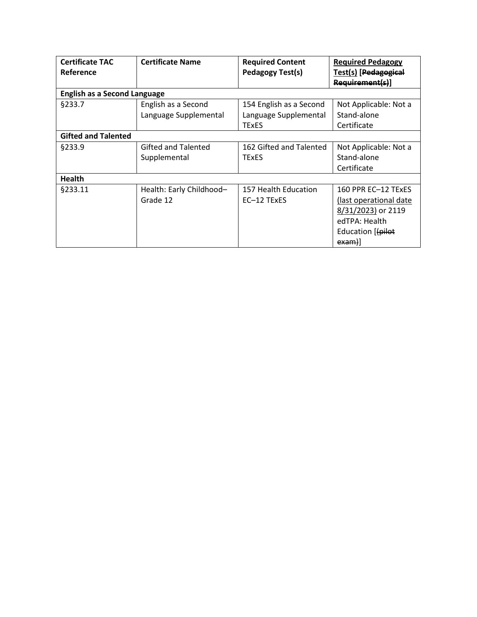| <b>Certificate TAC</b>              | <b>Certificate Name</b>    | <b>Required Content</b> | <b>Required Pedagogy</b>    |
|-------------------------------------|----------------------------|-------------------------|-----------------------------|
| Reference                           |                            | <b>Pedagogy Test(s)</b> | <b>Test(s)</b> [Pedagogical |
|                                     |                            |                         | Requirement(s)]             |
| <b>English as a Second Language</b> |                            |                         |                             |
| §233.7                              | English as a Second        | 154 English as a Second | Not Applicable: Not a       |
|                                     | Language Supplemental      | Language Supplemental   | Stand-alone                 |
|                                     |                            | <b>TExES</b>            | Certificate                 |
| <b>Gifted and Talented</b>          |                            |                         |                             |
| <b>§233.9</b>                       | <b>Gifted and Talented</b> | 162 Gifted and Talented | Not Applicable: Not a       |
|                                     | Supplemental               | TExES                   | Stand-alone                 |
|                                     |                            |                         | Certificate                 |
| <b>Health</b>                       |                            |                         |                             |
| §233.11                             | Health: Early Childhood-   | 157 Health Education    | 160 PPR EC-12 TEXES         |
|                                     | Grade 12                   | EC-12 TExES             | (last operational date)     |
|                                     |                            |                         | 8/31/2023) or 2119          |
|                                     |                            |                         | edTPA: Health               |
|                                     |                            |                         | Education [(pilot           |
|                                     |                            |                         | exam)]                      |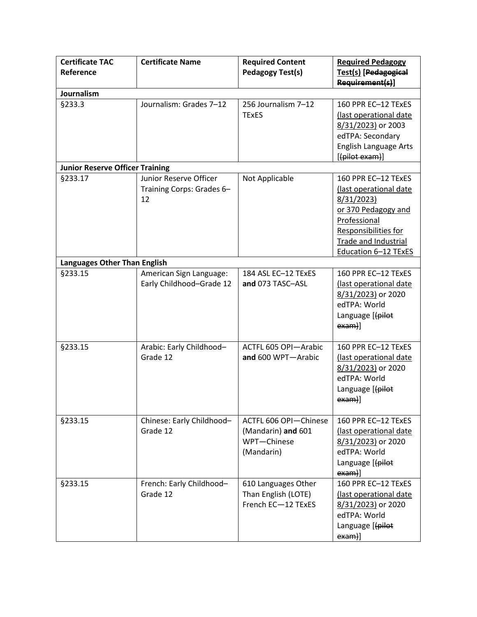| <b>Certificate TAC</b><br>Reference    | <b>Certificate Name</b>                                   | <b>Required Content</b><br><b>Pedagogy Test(s)</b>                       | <b>Required Pedagogy</b><br>Test(s) [Pedagogical<br>Requirement(s)]                                                                                                               |
|----------------------------------------|-----------------------------------------------------------|--------------------------------------------------------------------------|-----------------------------------------------------------------------------------------------------------------------------------------------------------------------------------|
| Journalism                             |                                                           |                                                                          |                                                                                                                                                                                   |
| §233.3                                 | Journalism: Grades 7-12                                   | 256 Journalism 7-12<br><b>TExES</b>                                      | 160 PPR EC-12 TExES<br>(last operational date<br>8/31/2023) or 2003<br>edTPA: Secondary<br><b>English Language Arts</b><br>[(pilot exam)]                                         |
| <b>Junior Reserve Officer Training</b> |                                                           |                                                                          |                                                                                                                                                                                   |
| §233.17                                | Junior Reserve Officer<br>Training Corps: Grades 6-<br>12 | Not Applicable                                                           | 160 PPR EC-12 TExES<br>(last operational date<br>8/31/2023)<br>or 370 Pedagogy and<br>Professional<br>Responsibilities for<br><b>Trade and Industrial</b><br>Education 6-12 TExES |
| Languages Other Than English           |                                                           |                                                                          |                                                                                                                                                                                   |
| §233.15                                | American Sign Language:<br>Early Childhood-Grade 12       | 184 ASL EC-12 TExES<br>and 073 TASC-ASL                                  | 160 PPR EC-12 TExES<br>(last operational date<br>8/31/2023) or 2020<br>edTPA: World<br>Language [(pilot<br>$exam)$ ]                                                              |
| §233.15                                | Arabic: Early Childhood-<br>Grade 12                      | ACTFL 605 OPI-Arabic<br>and 600 WPT-Arabic                               | 160 PPR EC-12 TExES<br>(last operational date<br>8/31/2023) or 2020<br>edTPA: World<br>Language [(pilot<br>$exam)$ ]                                                              |
| §233.15                                | Chinese: Early Childhood-<br>Grade 12                     | ACTFL 606 OPI-Chinese<br>(Mandarin) and 601<br>WPT-Chinese<br>(Mandarin) | 160 PPR EC-12 TExES<br>(last operational date<br>8/31/2023) or 2020<br>edTPA: World<br>Language [(pilot<br>exam]                                                                  |
| §233.15                                | French: Early Childhood-<br>Grade 12                      | 610 Languages Other<br>Than English (LOTE)<br>French EC-12 TExES         | 160 PPR EC-12 TExES<br>(last operational date<br>8/31/2023) or 2020<br>edTPA: World<br>Language [(pilot<br>$exam)$ ]                                                              |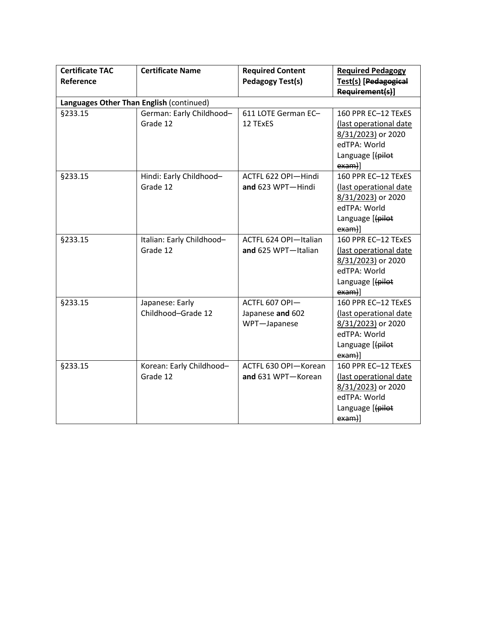| <b>Certificate TAC</b><br>Reference      | <b>Certificate Name</b>               | <b>Required Content</b><br><b>Pedagogy Test(s)</b> | <b>Required Pedagogy</b><br>Test(s) [Pedagogical<br>Requirement(s)]                                                  |
|------------------------------------------|---------------------------------------|----------------------------------------------------|----------------------------------------------------------------------------------------------------------------------|
| Languages Other Than English (continued) |                                       |                                                    |                                                                                                                      |
| §233.15                                  | German: Early Childhood-<br>Grade 12  | 611 LOTE German EC-<br>12 TExES                    | 160 PPR EC-12 TExES<br>(last operational date<br>8/31/2023) or 2020<br>edTPA: World<br>Language [(pilot<br>$exam)$ ] |
| §233.15                                  | Hindi: Early Childhood-<br>Grade 12   | ACTFL 622 OPI-Hindi<br>and 623 WPT-Hindi           | 160 PPR EC-12 TExES<br>(last operational date<br>8/31/2023) or 2020<br>edTPA: World<br>Language [(pilot<br>$exam)$ ] |
| §233.15                                  | Italian: Early Childhood-<br>Grade 12 | ACTFL 624 OPI-Italian<br>and 625 WPT-Italian       | 160 PPR EC-12 TExES<br>(last operational date<br>8/31/2023) or 2020<br>edTPA: World<br>Language [(pilot<br>$exam)$ ] |
| §233.15                                  | Japanese: Early<br>Childhood-Grade 12 | ACTFL 607 OPI-<br>Japanese and 602<br>WPT-Japanese | 160 PPR EC-12 TExES<br>(last operational date<br>8/31/2023) or 2020<br>edTPA: World<br>Language [(pilot<br>$exam)$ ] |
| §233.15                                  | Korean: Early Childhood-<br>Grade 12  | ACTFL 630 OPI-Korean<br>and 631 WPT-Korean         | 160 PPR EC-12 TExES<br>(last operational date<br>8/31/2023) or 2020<br>edTPA: World<br>Language [(pilot<br>$exam)$ ] |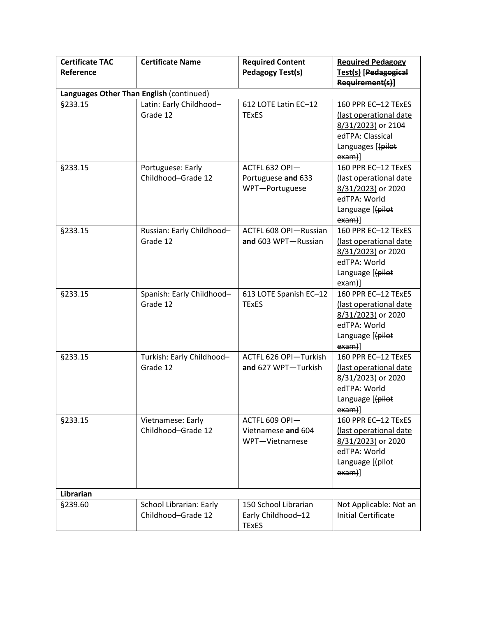| <b>Certificate TAC</b><br>Reference      | <b>Certificate Name</b>                              | <b>Required Content</b><br><b>Pedagogy Test(s)</b>         | <b>Required Pedagogy</b><br>Test(s) [Pedagogical<br>Requirement(s)]                                                       |
|------------------------------------------|------------------------------------------------------|------------------------------------------------------------|---------------------------------------------------------------------------------------------------------------------------|
| Languages Other Than English (continued) |                                                      |                                                            |                                                                                                                           |
| §233.15                                  | Latin: Early Childhood-<br>Grade 12                  | 612 LOTE Latin EC-12<br><b>TExES</b>                       | 160 PPR EC-12 TExES<br>(last operational date<br>8/31/2023) or 2104<br>edTPA: Classical<br>Languages [(pilot<br>$exam)$ ] |
| §233.15                                  | Portuguese: Early<br>Childhood-Grade 12              | ACTFL 632 OPI-<br>Portuguese and 633<br>WPT-Portuguese     | 160 PPR EC-12 TExES<br>(last operational date<br>8/31/2023) or 2020<br>edTPA: World<br>Language [(pilot<br>exam]          |
| §233.15                                  | Russian: Early Childhood-<br>Grade 12                | ACTFL 608 OPI-Russian<br>and 603 WPT-Russian               | 160 PPR EC-12 TExES<br>(last operational date<br>8/31/2023) or 2020<br>edTPA: World<br>Language [(pilot<br>$exam)$ ]      |
| §233.15                                  | Spanish: Early Childhood-<br>Grade 12                | 613 LOTE Spanish EC-12<br><b>TExES</b>                     | 160 PPR EC-12 TExES<br>(last operational date<br>8/31/2023) or 2020<br>edTPA: World<br>Language [(pilot<br>$exam)$ ]      |
| §233.15                                  | Turkish: Early Childhood-<br>Grade 12                | ACTFL 626 OPI-Turkish<br>and 627 WPT-Turkish               | 160 PPR EC-12 TExES<br>(last operational date<br>8/31/2023) or 2020<br>edTPA: World<br>Language [(pilot<br>exam)]         |
| §233.15                                  | Vietnamese: Early<br>Childhood-Grade 12              | ACTFL 609 OPI-<br>Vietnamese and 604<br>WPT-Vietnamese     | 160 PPR EC-12 TExES<br>(last operational date<br>8/31/2023) or 2020<br>edTPA: World<br>Language [(pilot<br>$exam)$ ]      |
| Librarian                                |                                                      |                                                            |                                                                                                                           |
| §239.60                                  | <b>School Librarian: Early</b><br>Childhood-Grade 12 | 150 School Librarian<br>Early Childhood-12<br><b>TExES</b> | Not Applicable: Not an<br><b>Initial Certificate</b>                                                                      |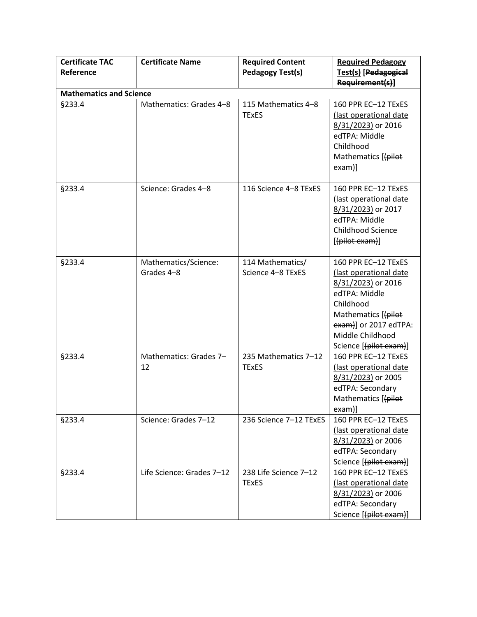| <b>Certificate TAC</b><br>Reference | <b>Certificate Name</b>            | <b>Required Content</b><br><b>Pedagogy Test(s)</b> | <b>Required Pedagogy</b><br>Test(s) [Pedagogical<br>Requirement(s)]                                                                                                                             |
|-------------------------------------|------------------------------------|----------------------------------------------------|-------------------------------------------------------------------------------------------------------------------------------------------------------------------------------------------------|
| <b>Mathematics and Science</b>      |                                    |                                                    |                                                                                                                                                                                                 |
| §233.4                              | Mathematics: Grades 4-8            | 115 Mathematics 4-8<br><b>TExES</b>                | 160 PPR EC-12 TExES<br>(last operational date<br>8/31/2023) or 2016<br>edTPA: Middle<br>Childhood<br>Mathematics [(pilot<br>$exam)$ ]                                                           |
| §233.4                              | Science: Grades 4-8                | 116 Science 4-8 TExES                              | 160 PPR EC-12 TExES<br>(last operational date<br>8/31/2023) or 2017<br>edTPA: Middle<br><b>Childhood Science</b><br>[(pilot exam)]                                                              |
| §233.4                              | Mathematics/Science:<br>Grades 4-8 | 114 Mathematics/<br>Science 4-8 TExES              | 160 PPR EC-12 TExES<br>(last operational date<br>8/31/2023) or 2016<br>edTPA: Middle<br>Childhood<br>Mathematics [(pilot<br>exam)] or 2017 edTPA:<br>Middle Childhood<br>Science [(pilot exam)] |
| §233.4                              | Mathematics: Grades 7-<br>12       | 235 Mathematics 7-12<br><b>TExES</b>               | 160 PPR EC-12 TExES<br>(last operational date<br>8/31/2023) or 2005<br>edTPA: Secondary<br>Mathematics [(pilot<br>exam)]                                                                        |
| §233.4                              | Science: Grades 7-12               | 236 Science 7-12 TExES                             | 160 PPR EC-12 TExES<br>(last operational date<br>8/31/2023) or 2006<br>edTPA: Secondary<br>Science [(pilot exam)]                                                                               |
| §233.4                              | Life Science: Grades 7-12          | 238 Life Science 7-12<br><b>TExES</b>              | 160 PPR EC-12 TExES<br>(last operational date<br>8/31/2023) or 2006<br>edTPA: Secondary<br>Science [(pilot exam)]                                                                               |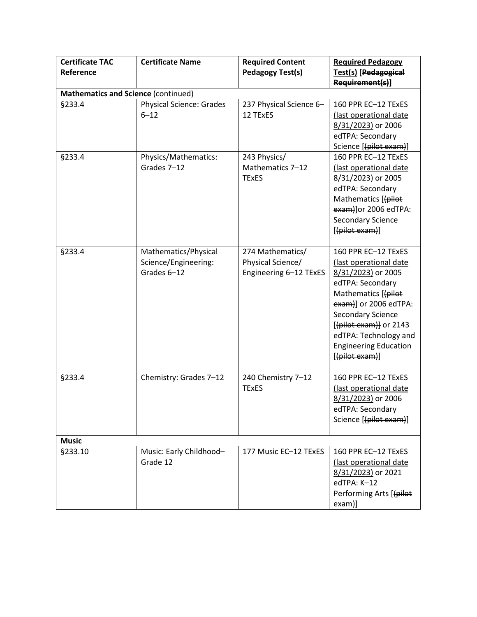| <b>Certificate TAC</b>                     | <b>Certificate Name</b>         | <b>Required Content</b> | <b>Required Pedagogy</b>                       |
|--------------------------------------------|---------------------------------|-------------------------|------------------------------------------------|
| Reference                                  |                                 | <b>Pedagogy Test(s)</b> | Test(s) [Pedagogical                           |
|                                            |                                 |                         | Requirement(s)]                                |
| <b>Mathematics and Science (continued)</b> |                                 |                         |                                                |
| §233.4                                     | <b>Physical Science: Grades</b> | 237 Physical Science 6- | 160 PPR EC-12 TExES                            |
|                                            | $6 - 12$                        | 12 TExES                | (last operational date                         |
|                                            |                                 |                         | 8/31/2023) or 2006                             |
|                                            |                                 |                         | edTPA: Secondary                               |
|                                            |                                 |                         | Science [(pilot exam)]                         |
| §233.4                                     | Physics/Mathematics:            | 243 Physics/            | 160 PPR EC-12 TExES                            |
|                                            | Grades 7-12                     | Mathematics 7-12        | (last operational date                         |
|                                            |                                 | <b>TExES</b>            | 8/31/2023) or 2005                             |
|                                            |                                 |                         | edTPA: Secondary                               |
|                                            |                                 |                         | Mathematics [(pilot                            |
|                                            |                                 |                         | exam)]or 2006 edTPA:                           |
|                                            |                                 |                         | Secondary Science                              |
|                                            |                                 |                         | [(pilot exam)]                                 |
|                                            |                                 |                         |                                                |
| §233.4                                     | Mathematics/Physical            | 274 Mathematics/        | 160 PPR EC-12 TExES                            |
|                                            | Science/Engineering:            | Physical Science/       | (last operational date                         |
|                                            | Grades 6-12                     | Engineering 6-12 TExES  | 8/31/2023) or 2005                             |
|                                            |                                 |                         | edTPA: Secondary                               |
|                                            |                                 |                         | Mathematics [(pilot                            |
|                                            |                                 |                         | exam)] or 2006 edTPA:                          |
|                                            |                                 |                         | <b>Secondary Science</b>                       |
|                                            |                                 |                         | [(pilot exam)] or 2143                         |
|                                            |                                 |                         | edTPA: Technology and                          |
|                                            |                                 |                         | <b>Engineering Education</b><br>[(pilot exam)] |
|                                            |                                 |                         |                                                |
| §233.4                                     | Chemistry: Grades 7-12          | 240 Chemistry 7-12      | 160 PPR EC-12 TExES                            |
|                                            |                                 | <b>TExES</b>            | (last operational date                         |
|                                            |                                 |                         | 8/31/2023) or 2006                             |
|                                            |                                 |                         | edTPA: Secondary                               |
|                                            |                                 |                         | Science [(pilot exam)]                         |
|                                            |                                 |                         |                                                |
| <b>Music</b>                               |                                 |                         |                                                |
| §233.10                                    | Music: Early Childhood-         | 177 Music EC-12 TExES   | 160 PPR EC-12 TExES                            |
|                                            | Grade 12                        |                         | (last operational date                         |
|                                            |                                 |                         | 8/31/2023) or 2021                             |
|                                            |                                 |                         | edTPA: K-12                                    |
|                                            |                                 |                         | Performing Arts [(pilot                        |
|                                            |                                 |                         | $exam)$ ]                                      |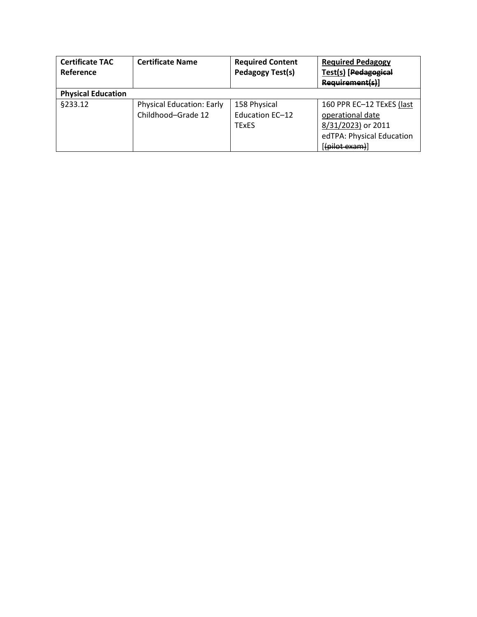| <b>Certificate TAC</b><br>Reference | <b>Certificate Name</b>                                | <b>Required Content</b><br>Pedagogy Test(s)     | <b>Required Pedagogy</b><br>Test(s) [Pedagogical<br>Requirement(s)]                                                |
|-------------------------------------|--------------------------------------------------------|-------------------------------------------------|--------------------------------------------------------------------------------------------------------------------|
| <b>Physical Education</b>           |                                                        |                                                 |                                                                                                                    |
| §233.12                             | <b>Physical Education: Early</b><br>Childhood-Grade 12 | 158 Physical<br>Education EC-12<br><b>TExES</b> | 160 PPR EC-12 TExES (last<br>operational date<br>8/31/2023) or 2011<br>edTPA: Physical Education<br>((pilot exam)] |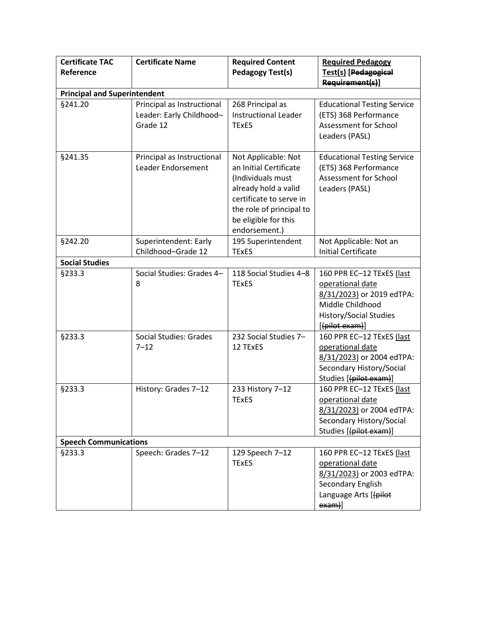| <b>Certificate TAC</b><br>Reference | <b>Certificate Name</b>                                            | <b>Required Content</b><br><b>Pedagogy Test(s)</b>                                                                                                                                         | <b>Required Pedagogy</b><br>Test(s) [Pedagogical<br>Requirement(s)]                                                                               |
|-------------------------------------|--------------------------------------------------------------------|--------------------------------------------------------------------------------------------------------------------------------------------------------------------------------------------|---------------------------------------------------------------------------------------------------------------------------------------------------|
| <b>Principal and Superintendent</b> |                                                                    |                                                                                                                                                                                            |                                                                                                                                                   |
| §241.20                             | Principal as Instructional<br>Leader: Early Childhood-<br>Grade 12 | 268 Principal as<br><b>Instructional Leader</b><br><b>TExES</b>                                                                                                                            | <b>Educational Testing Service</b><br>(ETS) 368 Performance<br>Assessment for School<br>Leaders (PASL)                                            |
| §241.35                             | Principal as Instructional<br>Leader Endorsement                   | Not Applicable: Not<br>an Initial Certificate<br>(Individuals must<br>already hold a valid<br>certificate to serve in<br>the role of principal to<br>be eligible for this<br>endorsement.) | <b>Educational Testing Service</b><br>(ETS) 368 Performance<br><b>Assessment for School</b><br>Leaders (PASL)                                     |
| §242.20                             | Superintendent: Early<br>Childhood-Grade 12                        | 195 Superintendent<br><b>TExES</b>                                                                                                                                                         | Not Applicable: Not an<br><b>Initial Certificate</b>                                                                                              |
| <b>Social Studies</b>               |                                                                    |                                                                                                                                                                                            |                                                                                                                                                   |
| §233.3                              | Social Studies: Grades 4-<br>8                                     | 118 Social Studies 4-8<br><b>TExES</b>                                                                                                                                                     | 160 PPR EC-12 TExES (last<br>operational date<br>8/31/2023) or 2019 edTPA:<br>Middle Childhood<br><b>History/Social Studies</b><br>[(pilot exam)] |
| §233.3                              | Social Studies: Grades<br>$7 - 12$                                 | 232 Social Studies 7-<br>12 TExES                                                                                                                                                          | 160 PPR EC-12 TExES (last<br>operational date<br>8/31/2023) or 2004 edTPA:<br>Secondary History/Social<br>Studies [(pilot exam)]                  |
| §233.3                              | History: Grades 7-12                                               | 233 History 7-12<br><b>TExES</b>                                                                                                                                                           | 160 PPR EC-12 TExES (last<br>operational date<br>8/31/2023) or 2004 edTPA:<br>Secondary History/Social<br>Studies [(pilot exam)]                  |
| <b>Speech Communications</b>        |                                                                    |                                                                                                                                                                                            |                                                                                                                                                   |
| §233.3                              | Speech: Grades 7-12                                                | 129 Speech 7-12<br><b>TExES</b>                                                                                                                                                            | 160 PPR EC-12 TExES (last<br>operational date<br>8/31/2023) or 2003 edTPA:<br>Secondary English<br>Language Arts [(pilot<br>$exam)$ ]             |